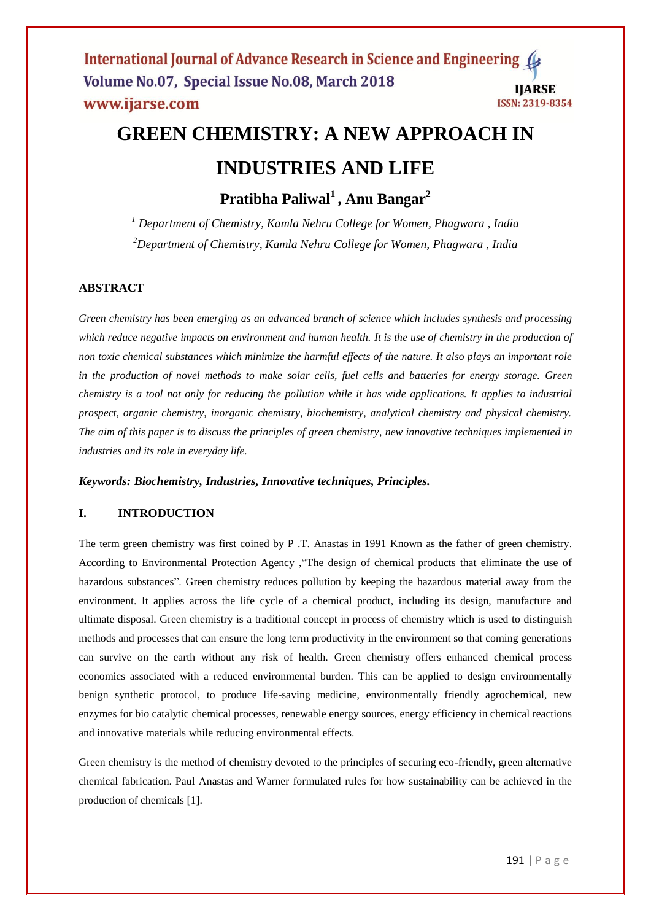# **GREEN CHEMISTRY: A NEW APPROACH IN INDUSTRIES AND LIFE**

**Pratibha Paliwal<sup>1</sup> , Anu Bangar<sup>2</sup>**

*<sup>1</sup> Department of Chemistry, Kamla Nehru College for Women, Phagwara , India <sup>2</sup>Department of Chemistry, Kamla Nehru College for Women, Phagwara , India*

# **ABSTRACT**

*Green chemistry has been emerging as an advanced branch of science which includes synthesis and processing which reduce negative impacts on environment and human health. It is the use of chemistry in the production of non toxic chemical substances which minimize the harmful effects of the nature. It also plays an important role in the production of novel methods to make solar cells, fuel cells and batteries for energy storage. Green chemistry is a tool not only for reducing the pollution while it has wide applications. It applies to industrial prospect, organic chemistry, inorganic chemistry, biochemistry, analytical chemistry and physical chemistry. The aim of this paper is to discuss the principles of green chemistry, new innovative techniques implemented in industries and its role in everyday life.*

# *Keywords: Biochemistry, Industries, Innovative techniques, Principles.*

# **I. INTRODUCTION**

The term green chemistry was first coined by P .T. Anastas in 1991 Known as the father of green chemistry. According to Environmental Protection Agency ,"The design of chemical products that eliminate the use of hazardous substances". Green chemistry reduces pollution by keeping the hazardous material away from the environment. It applies across the life cycle of a chemical product, including its design, manufacture and ultimate disposal. Green chemistry is a traditional concept in process of chemistry which is used to distinguish methods and processes that can ensure the long term productivity in the environment so that coming generations can survive on the earth without any risk of health. Green chemistry offers enhanced chemical process economics associated with a reduced environmental burden. This can be applied to design environmentally benign synthetic protocol, to produce life-saving medicine, environmentally friendly agrochemical, new enzymes for bio catalytic chemical processes, renewable energy sources, energy efficiency in chemical reactions and innovative materials while reducing environmental effects.

Green chemistry is the method of chemistry devoted to the principles of securing eco-friendly, green alternative chemical fabrication. Paul Anastas and Warner formulated rules for how sustainability can be achieved in the production of chemicals [1].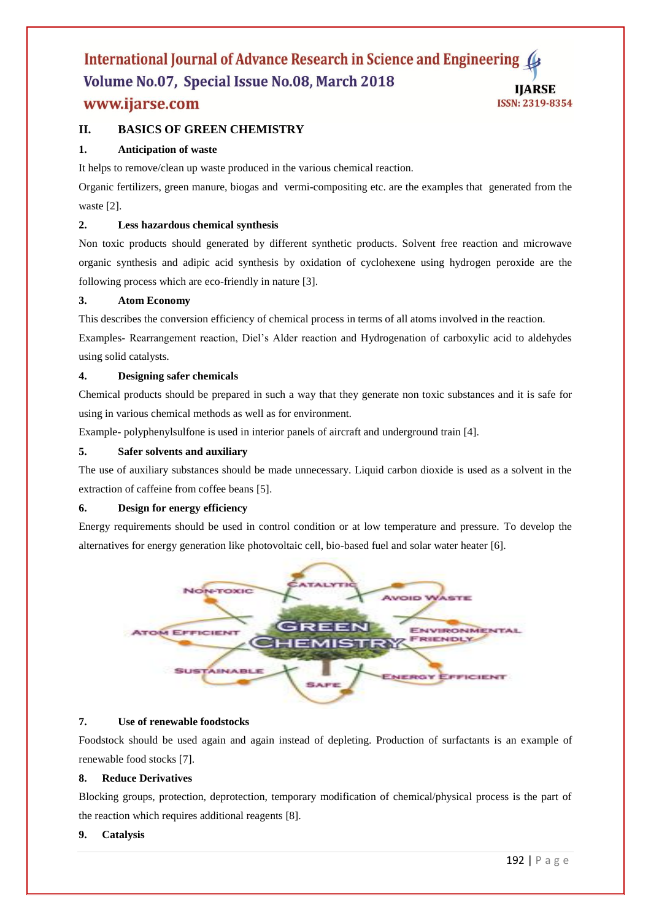# **II. BASICS OF GREEN CHEMISTRY**

# **1. Anticipation of waste**

It helps to remove/clean up waste produced in the various chemical reaction.

Organic fertilizers, green manure, biogas and vermi-compositing etc. are the examples that generated from the waste [2].

## **2. Less hazardous chemical synthesis**

Non toxic products should generated by different synthetic products. Solvent free reaction and microwave organic synthesis and adipic acid synthesis by oxidation of cyclohexene using hydrogen peroxide are the following process which are eco-friendly in nature [3].

#### **3. Atom Economy**

This describes the conversion efficiency of chemical process in terms of all atoms involved in the reaction. Examples- Rearrangement reaction, Diel's Alder reaction and Hydrogenation of carboxylic acid to aldehydes using solid catalysts.

#### **4. Designing safer chemicals**

Chemical products should be prepared in such a way that they generate non toxic substances and it is safe for using in various chemical methods as well as for environment.

Example- polyphenylsulfone is used in interior panels of aircraft and underground train [4].

# **5. Safer solvents and auxiliary**

The use of auxiliary substances should be made unnecessary. Liquid carbon dioxide is used as a solvent in the extraction of caffeine from coffee beans [5].

#### **6. Design for energy efficiency**

Energy requirements should be used in control condition or at low temperature and pressure. To develop the alternatives for energy generation like photovoltaic cell, bio-based fuel and solar water heater [6].



#### **7. Use of renewable foodstocks**

Foodstock should be used again and again instead of depleting. Production of surfactants is an example of renewable food stocks [7].

#### **8. Reduce Derivatives**

Blocking groups, protection, deprotection, temporary modification of chemical/physical process is the part of the reaction which requires additional reagents [8].

# **9. Catalysis**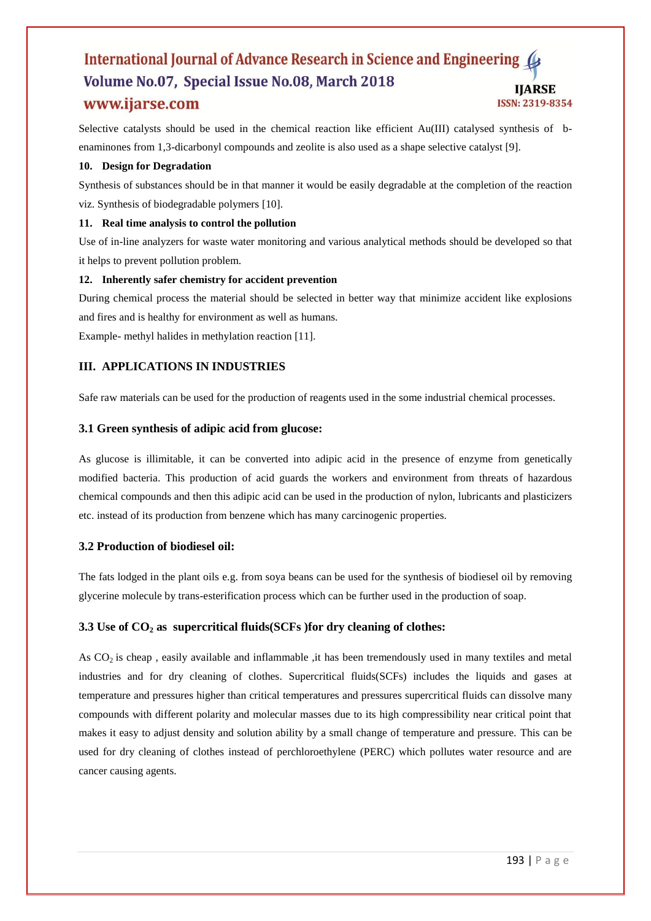Selective catalysts should be used in the chemical reaction like efficient Au(III) catalysed synthesis of benaminones from 1,3-dicarbonyl compounds and zeolite is also used as a shape selective catalyst [9].

# **10. Design for Degradation**

Synthesis of substances should be in that manner it would be easily degradable at the completion of the reaction viz. Synthesis of biodegradable polymers [10].

# **11. Real time analysis to control the pollution**

Use of in-line analyzers for waste water monitoring and various analytical methods should be developed so that it helps to prevent pollution problem.

# **12. Inherently safer chemistry for accident prevention**

During chemical process the material should be selected in better way that minimize accident like explosions and fires and is healthy for environment as well as humans.

Example- methyl halides in methylation reaction [11].

# **III. APPLICATIONS IN INDUSTRIES**

Safe raw materials can be used for the production of reagents used in the some industrial chemical processes.

# **3.1 Green synthesis of adipic acid from glucose:**

As glucose is illimitable, it can be converted into adipic acid in the presence of enzyme from genetically modified bacteria. This production of acid guards the workers and environment from threats of hazardous chemical compounds and then this adipic acid can be used in the production of nylon, lubricants and plasticizers etc. instead of its production from benzene which has many carcinogenic properties.

# **3.2 Production of biodiesel oil:**

The fats lodged in the plant oils e.g. from soya beans can be used for the synthesis of biodiesel oil by removing glycerine molecule by trans-esterification process which can be further used in the production of soap.

# **3.3 Use of CO<sup>2</sup> as supercritical fluids(SCFs )for dry cleaning of clothes:**

As CO<sub>2</sub> is cheap, easily available and inflammable, it has been tremendously used in many textiles and metal industries and for dry cleaning of clothes. Supercritical fluids(SCFs) includes the liquids and gases at temperature and pressures higher than critical temperatures and pressures supercritical fluids can dissolve many compounds with different polarity and molecular masses due to its high compressibility near critical point that makes it easy to adjust density and solution ability by a small change of temperature and pressure. This can be used for dry cleaning of clothes instead of perchloroethylene (PERC) which pollutes water resource and are cancer causing agents.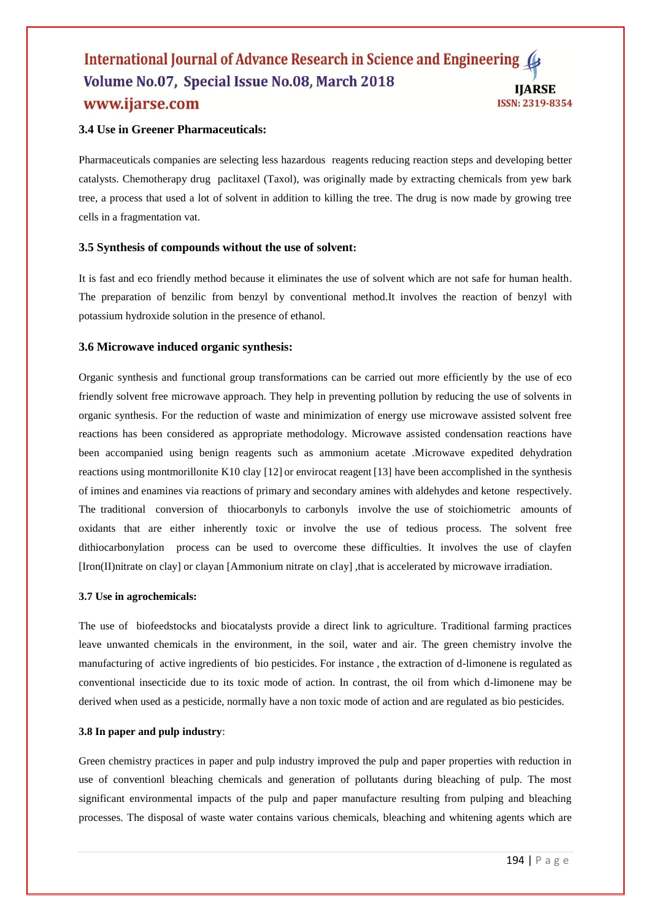# **3.4 Use in Greener Pharmaceuticals:**

Pharmaceuticals companies are selecting less hazardous reagents reducing reaction steps and developing better catalysts. Chemotherapy drug paclitaxel (Taxol), was originally made by extracting chemicals from yew bark tree, a process that used a lot of solvent in addition to killing the tree. The drug is now made by growing tree cells in a fragmentation vat.

# **3.5 Synthesis of compounds without the use of solvent:**

It is fast and eco friendly method because it eliminates the use of solvent which are not safe for human health. The preparation of benzilic from benzyl by conventional method.It involves the reaction of benzyl with potassium hydroxide solution in the presence of ethanol.

#### **3.6 Microwave induced organic synthesis:**

Organic synthesis and functional group transformations can be carried out more efficiently by the use of eco friendly solvent free microwave approach. They help in preventing pollution by reducing the use of solvents in organic synthesis. For the reduction of waste and minimization of energy use microwave assisted solvent free reactions has been considered as appropriate methodology. Microwave assisted condensation reactions have been accompanied using benign reagents such as ammonium acetate .Microwave expedited dehydration reactions using montmorillonite K10 clay [12] or envirocat reagent [13] have been accomplished in the synthesis of imines and enamines via reactions of primary and secondary amines with aldehydes and ketone respectively. The traditional conversion of thiocarbonyls to carbonyls involve the use of stoichiometric amounts of oxidants that are either inherently toxic or involve the use of tedious process. The solvent free dithiocarbonylation process can be used to overcome these difficulties. It involves the use of clayfen [Iron(II)nitrate on clay] or clayan [Ammonium nitrate on clay] ,that is accelerated by microwave irradiation.

#### **3.7 Use in agrochemicals:**

The use of biofeedstocks and biocatalysts provide a direct link to agriculture. Traditional farming practices leave unwanted chemicals in the environment, in the soil, water and air. The green chemistry involve the manufacturing of active ingredients of bio pesticides. For instance , the extraction of d-limonene is regulated as conventional insecticide due to its toxic mode of action. In contrast, the oil from which d-limonene may be derived when used as a pesticide, normally have a non toxic mode of action and are regulated as bio pesticides.

#### **3.8 In paper and pulp industry**:

Green chemistry practices in paper and pulp industry improved the pulp and paper properties with reduction in use of conventionl bleaching chemicals and generation of pollutants during bleaching of pulp. The most significant environmental impacts of the pulp and paper manufacture resulting from pulping and bleaching processes. The disposal of waste water contains various chemicals, bleaching and whitening agents which are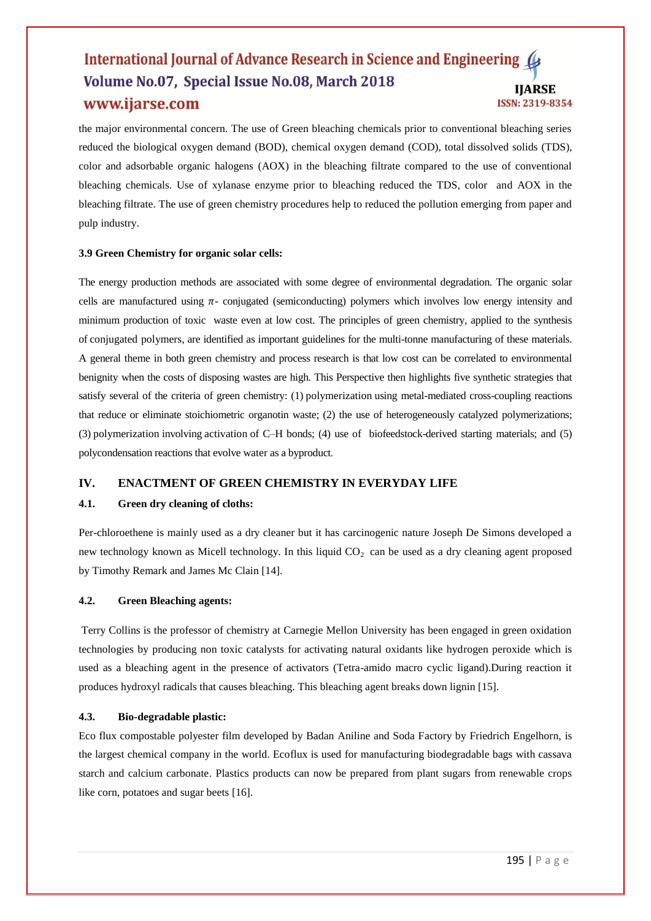the major environmental concern. The use of Green bleaching chemicals prior to conventional bleaching series reduced the biological oxygen demand (BOD), chemical oxygen demand (COD), total dissolved solids (TDS), color and adsorbable organic halogens (AOX) in the bleaching filtrate compared to the use of conventional bleaching chemicals. Use of xylanase enzyme prior to bleaching reduced the TDS, color and AOX in the bleaching filtrate. The use of green chemistry procedures help to reduced the pollution emerging from paper and pulp industry.

#### **3.9 Green Chemistry for organic solar cells:**

The energy production methods are associated with some degree of environmental degradation. The organic solar cells are manufactured using  $\pi$ - conjugated (semiconducting) polymers which involves low energy intensity and minimum production of toxic waste even at low cost. The principles of green chemistry, applied to the synthesis of conjugated polymers, are identified as important guidelines for the multi-tonne manufacturing of these materials. A general theme in both green chemistry and process research is that low cost can be correlated to environmental benignity when the costs of disposing wastes are high. This Perspective then highlights five synthetic strategies that satisfy several of the criteria of green chemistry: (1) polymerization using metal-mediated cross-coupling reactions that reduce or eliminate stoichiometric organotin waste; (2) the use of heterogeneously catalyzed polymerizations; (3) polymerization involving activation of C–H bonds; (4) use of biofeedstock-derived starting materials; and (5) polycondensation reactions that evolve water as a byproduct.

#### **IV. ENACTMENT OF GREEN CHEMISTRY IN EVERYDAY LIFE**

#### **4.1. Green dry cleaning of cloths:**

Per-chloroethene is mainly used as a dry cleaner but it has carcinogenic nature Joseph De Simons developed a new technology known as Micell technology. In this liquid  $CO<sub>2</sub>$  can be used as a dry cleaning agent proposed by Timothy Remark and James Mc Clain [14].

## **4.2. Green Bleaching agents:**

Terry Collins is the professor of chemistry at Carnegie Mellon University has been engaged in green oxidation technologies by producing non toxic catalysts for activating natural oxidants like hydrogen peroxide which is used as a bleaching agent in the presence of activators (Tetra-amido macro cyclic ligand).During reaction it produces hydroxyl radicals that causes bleaching. This bleaching agent breaks down lignin [15].

#### **4.3. Bio-degradable plastic:**

Eco flux compostable polyester film developed by Badan Aniline and Soda Factory by Friedrich Engelhorn, is the largest chemical company in the world. Ecoflux is used for manufacturing biodegradable bags with cassava starch and calcium carbonate. Plastics products can now be prepared from plant sugars from renewable crops like corn, potatoes and sugar beets [16].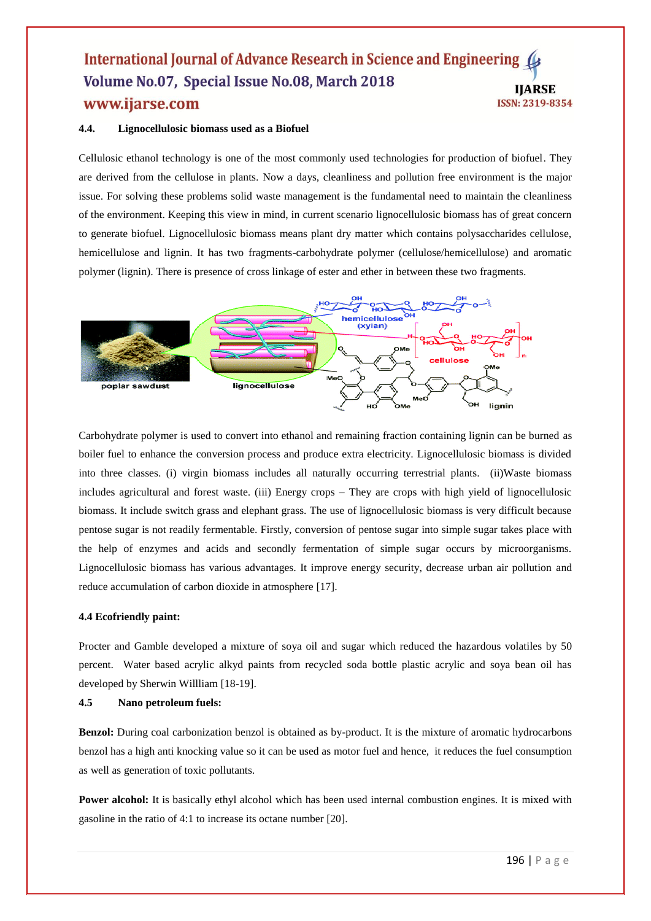#### **4.4. Lignocellulosic biomass used as a Biofuel**

Cellulosic ethanol technology is one of the most commonly used technologies for production of biofuel. They are derived from the cellulose in plants. Now a days, cleanliness and pollution free environment is the major issue. For solving these problems solid waste management is the fundamental need to maintain the cleanliness of the environment. Keeping this view in mind, in current scenario lignocellulosic biomass has of great concern to generate biofuel. Lignocellulosic biomass means plant dry matter which contains polysaccharides cellulose, hemicellulose and lignin. It has two fragments-carbohydrate polymer (cellulose/hemicellulose) and aromatic polymer (lignin). There is presence of cross linkage of ester and ether in between these two fragments.



Carbohydrate polymer is used to convert into ethanol and remaining fraction containing lignin can be burned as boiler fuel to enhance the conversion process and produce extra electricity. Lignocellulosic biomass is divided into three classes. (i) virgin biomass includes all naturally occurring terrestrial plants. (ii)Waste biomass includes agricultural and forest waste. (iii) Energy crops – They are crops with high yield of lignocellulosic biomass. It include switch grass and elephant grass. The use of lignocellulosic biomass is very difficult because pentose sugar is not readily fermentable. Firstly, conversion of pentose sugar into simple sugar takes place with the help of enzymes and acids and secondly fermentation of simple sugar occurs by microorganisms. Lignocellulosic biomass has various advantages. It improve energy security, decrease urban air pollution and reduce accumulation of carbon dioxide in atmosphere [17].

#### **4.4 Ecofriendly paint:**

Procter and Gamble developed a mixture of soya oil and sugar which reduced the hazardous volatiles by 50 percent. Water based acrylic alkyd paints from recycled soda bottle plastic acrylic and soya bean oil has developed by Sherwin Willliam [18-19].

#### **4.5 Nano petroleum fuels:**

**Benzol:** During coal carbonization benzol is obtained as by-product. It is the mixture of aromatic hydrocarbons benzol has a high anti knocking value so it can be used as motor fuel and hence, it reduces the fuel consumption as well as generation of toxic pollutants.

**Power alcohol:** It is basically ethyl alcohol which has been used internal combustion engines. It is mixed with gasoline in the ratio of 4:1 to increase its octane number [20].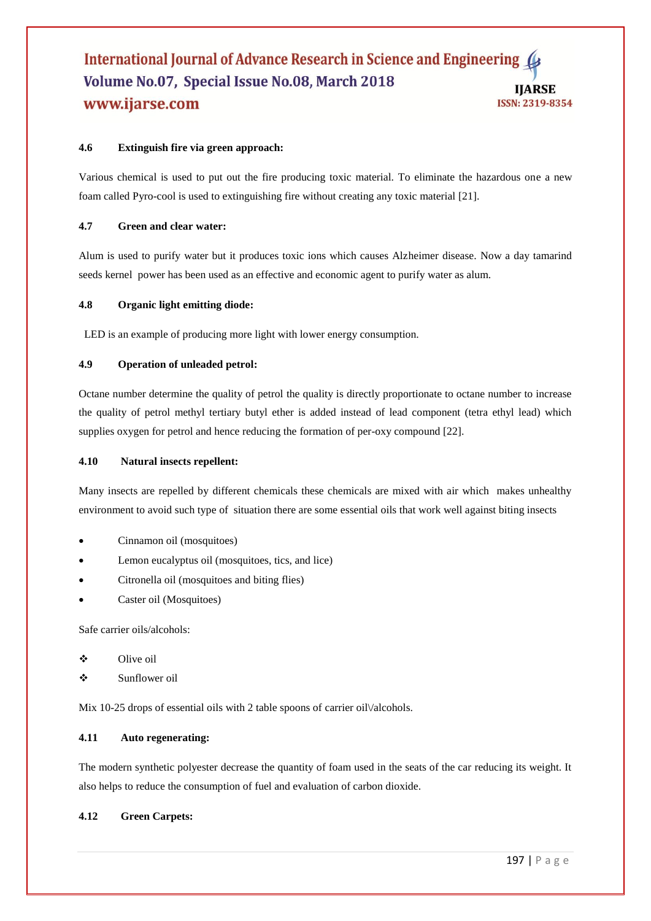# **4.6 Extinguish fire via green approach:**

Various chemical is used to put out the fire producing toxic material. To eliminate the hazardous one a new foam called Pyro-cool is used to extinguishing fire without creating any toxic material [21].

#### **4.7 Green and clear water:**

Alum is used to purify water but it produces toxic ions which causes Alzheimer disease. Now a day tamarind seeds kernel power has been used as an effective and economic agent to purify water as alum.

#### **4.8 Organic light emitting diode:**

LED is an example of producing more light with lower energy consumption.

#### **4.9 Operation of unleaded petrol:**

Octane number determine the quality of petrol the quality is directly proportionate to octane number to increase the quality of petrol methyl tertiary butyl ether is added instead of lead component (tetra ethyl lead) which supplies oxygen for petrol and hence reducing the formation of per-oxy compound [22].

#### **4.10 Natural insects repellent:**

Many insects are repelled by different chemicals these chemicals are mixed with air which makes unhealthy environment to avoid such type of situation there are some essential oils that work well against biting insects

- Cinnamon oil (mosquitoes)
- Lemon eucalyptus oil (mosquitoes, tics, and lice)
- Citronella oil (mosquitoes and biting flies)
- Caster oil (Mosquitoes)

Safe carrier oils/alcohols:

- ❖ Olive oil
- Sunflower oil

Mix 10-25 drops of essential oils with 2 table spoons of carrier oil $\lor$ alcohols.

#### **4.11 Auto regenerating:**

The modern synthetic polyester decrease the quantity of foam used in the seats of the car reducing its weight. It also helps to reduce the consumption of fuel and evaluation of carbon dioxide.

#### **4.12 Green Carpets:**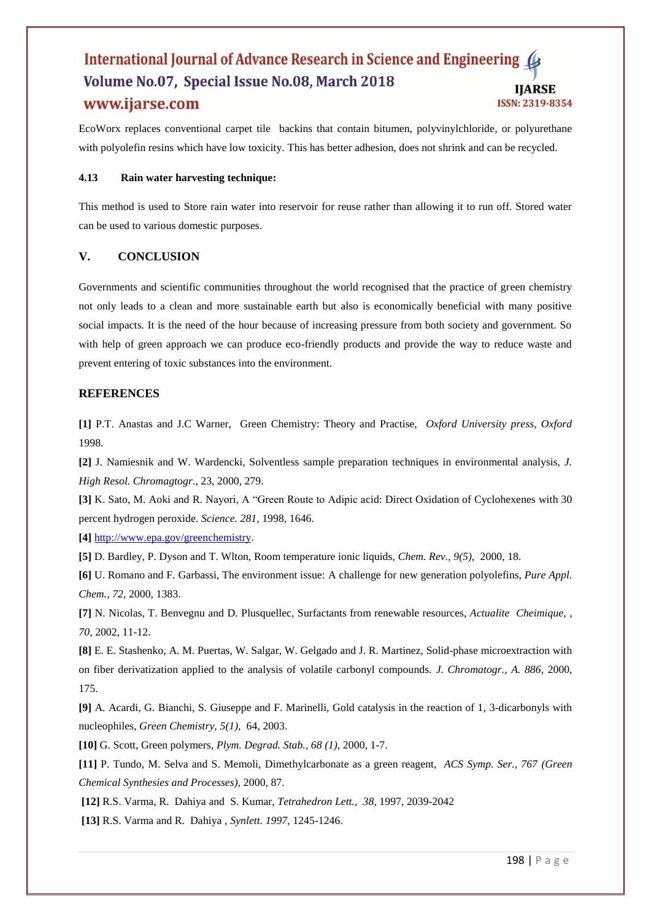EcoWorx replaces conventional carpet tile backins that contain bitumen, polyvinylchloride, or polyurethane with polyolefin resins which have low toxicity. This has better adhesion, does not shrink and can be recycled.

#### **4.13 Rain water harvesting technique:**

This method is used to Store rain water into reservoir for reuse rather than allowing it to run off. Stored water can be used to various domestic purposes.

# **V. CONCLUSION**

Governments and scientific communities throughout the world recognised that the practice of green chemistry not only leads to a clean and more sustainable earth but also is economically beneficial with many positive social impacts. It is the need of the hour because of increasing pressure from both society and government. So with help of green approach we can produce eco-friendly products and provide the way to reduce waste and prevent entering of toxic substances into the environment.

# **REFERENCES**

**[1]** P.T. Anastas and J.C Warner, Green Chemistry: Theory and Practise, *Oxford University press*, *Oxford*  1998.

**[2]** J. Namiesnik and W. Wardencki, Solventless sample preparation techniques in environmental analysis, *J. High Resol. Chromagtogr*., 23, 2000, 279.

**[3]** K. Sato, M. Aoki and R. Nayori, A "Green Route to Adipic acid: Direct Oxidation of Cyclohexenes with 30 percent hydrogen peroxide. *Science. 281,* 1998, 1646.

**[4]** [http://www.epa.gov/greenchemistry.](http://www.epa.gov/greenchemistry)

**[5]** D. Bardley, P. Dyson and T. Wlton, Room temperature ionic liquids, *Chem. Rev., 9(5),* 2000, 18.

**[6]** U. Romano and F. Garbassi, The environment issue: A challenge for new generation polyolefins, *Pure Appl. Chem., 72,* 2000, 1383.

**[7]** N. Nicolas, T. Benvegnu and D. Plusquellec, Surfactants from renewable resources, *Actualite Cheimique, , 70,* 2002, 11-12.

**[8]** E. E. Stashenko, A. M. Puertas, W. Salgar, W. Gelgado and J. R. Martinez, Solid-phase microextraction with on fiber derivatization applied to the analysis of volatile carbonyl compounds. *J. Chromatogr., A. 886,* 2000, 175.

**[9]** A. Acardi, G. Bianchi, S. Giuseppe and F. Marinelli, Gold catalysis in the reaction of 1, 3-dicarbonyls with nucleophiles, *Green Chemistry, 5(1),* 64, 2003.

**[10]** G. Scott, Green polymers, *Plym. Degrad. Stab., 68 (1),* 2000, 1-7.

**[11]** P. Tundo, M. Selva and S. Memoli, Dimethylcarbonate as a green reagent, *ACS Symp. Ser., 767 (Green Chemical Synthesies and Processes),* 2000, 87.

**[12]** R.S. Varma, R. Dahiya and S. Kumar, *Tetrahedron Lett., 38,* 1997, 2039-2042

**[13]** R.S. Varma and R. Dahiya , *Synlett. 1997,* 1245-1246.